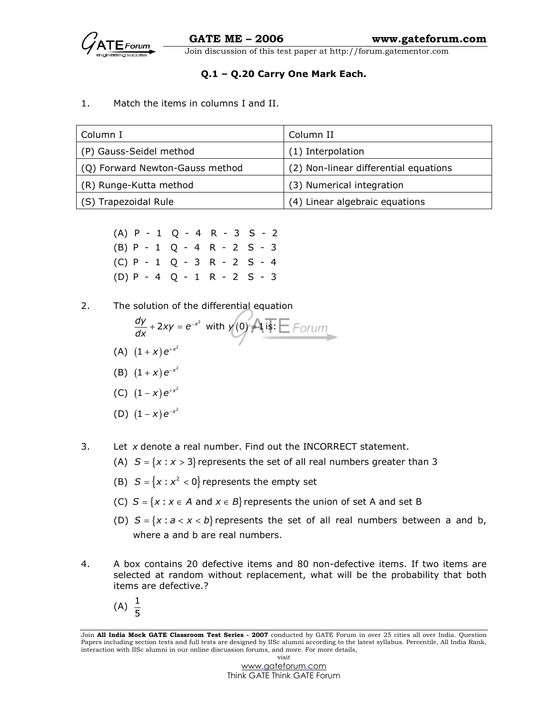# Q.1 – Q.20 Carry One Mark Each.

#### 1. Match the items in columns I and II.

| Column I                        | Column II                             |
|---------------------------------|---------------------------------------|
| (P) Gauss-Seidel method         | (1) Interpolation                     |
| (Q) Forward Newton-Gauss method | (2) Non-linear differential equations |
| (R) Runge-Kutta method          | (3) Numerical integration             |
| (S) Trapezoidal Rule            | (4) Linear algebraic equations        |

 (A) P - 1 Q - 4 R - 3 S - 2 (B) P - 1 Q - 4 R - 2 S - 3 (C) P - 1 Q - 3 R - 2 S - 4 (D) P - 4 Q - 1 R - 2 S - 3

2. The solution of the differential equation

- $\frac{dy}{dx}$  + 2xy =  $e^{-x^2}$  with y(0)  $\rightarrow 1$  $+ 2xy = e^{-x^2}$  with  $y(0) = 1$  is:
- (A)  $(1+x)e^{+x^2}$
- (B)  $(1+x)e^{-x^2}$
- (C)  $(1-x)e^{+x^2}$
- (D)  $(1-x)e^{-x^2}$
- 3. Let  $x$  denote a real number. Find out the INCORRECT statement.
	- (A)  $S = \{x : x > 3\}$  represents the set of all real numbers greater than 3
- (B)  $S = \{x : x^2 < 0\}$  represents the empty set
	- (C)  $S = \{x : x \in A \text{ and } x \in B\}$  represents the union of set A and set B
	- (D)  $S = \{x : a < x < b\}$  represents the set of all real numbers between a and b, where a and b are real numbers.
- 4. A box contains 20 defective items and 80 non-defective items. If two items are selected at random without replacement, what will be the probability that both items are defective.?
- (A)  $\frac{1}{5}$

Join All India Mock GATE Classroom Test Series - 2007 conducted by GATE Forum in over 25 cities all over India. Question Papers including section tests and full tests are designed by IISc alumni according to the latest syllabus. Percentile, All India Rank, interaction with IISc alumni in our online discussion forums, and more. For more details, visit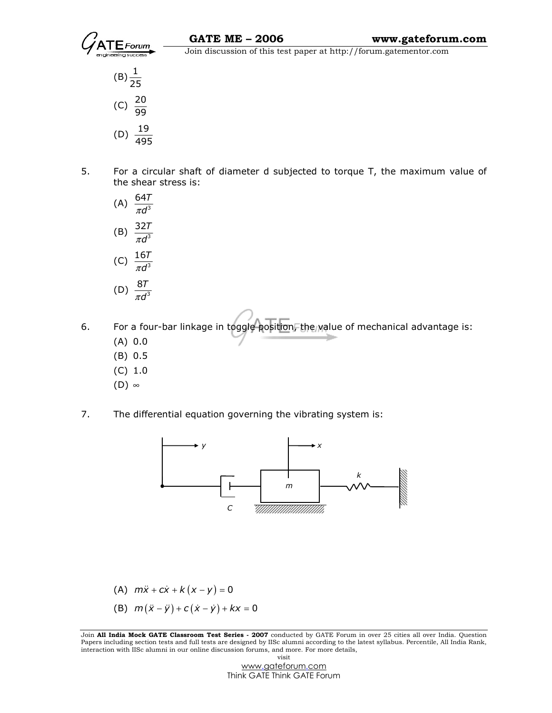



5. For a circular shaft of diameter d subjected to torque T, the maximum value of the shear stress is:



- 6. For a four-bar linkage in toggle position, the value of mechanical advantage is:
	- (A) 0.0
	- (B) 0.5
	- (C) 1.0
	- $(D)$  ∞
- 7. The differential equation governing the vibrating system is:



(A) 
$$
m\ddot{x} + c\dot{x} + k(x - y) = 0
$$

(B)  $m(\ddot{x} - \ddot{y}) + c(\dot{x} - \dot{y}) + kx = 0$ 

Join All India Mock GATE Classroom Test Series - 2007 conducted by GATE Forum in over 25 cities all over India. Question Papers including section tests and full tests are designed by IISc alumni according to the latest syllabus. Percentile, All India Rank, interaction with IISc alumni in our online discussion forums, and more. For more details, visit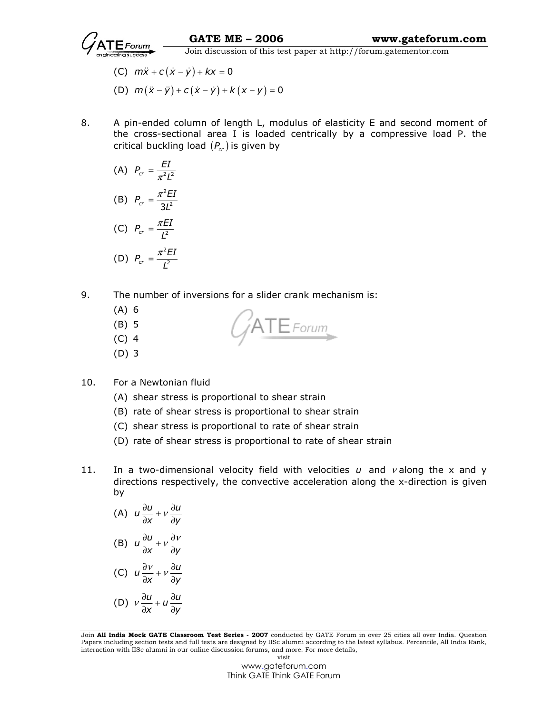

- (C)  $m\ddot{x} + c(\dot{x} \dot{y}) + kx = 0$
- (D)  $m(\ddot{x} \ddot{y}) + c(\dot{x} \dot{y}) + k(x y) = 0$
- 8. A pin-ended column of length L, modulus of elasticity E and second moment of the cross-sectional area I is loaded centrically by a compressive load P. the critical buckling load  $(P<sub>cr</sub>)$  is given by

(A) 
$$
P_{cr} = \frac{EI}{\pi^2 L^2}
$$
  
\n(B)  $P_{cr} = \frac{\pi^2 EI}{3L^2}$ 

$$
\begin{aligned} \text{(C)} \ \ P_{cr} &= \frac{\pi EI}{L^2} \\ \text{(D)} \ \ P_{cr} &= \frac{\pi^2 EI}{L^2} \end{aligned}
$$

9. The number of inversions for a slider crank mechanism is:

- (A) 6
- (B) 5
- (C) 4
- (D) 3

10. For a Newtonian fluid

- (A) shear stress is proportional to shear strain
- (B) rate of shear stress is proportional to shear strain
- (C) shear stress is proportional to rate of shear strain
- (D) rate of shear stress is proportional to rate of shear strain
- 11. In a two-dimensional velocity field with velocities  $u$  and  $v$  along the x and y directions respectively, the convective acceleration along the x-direction is given by

ATE Forum

(A) 
$$
u \frac{\partial u}{\partial x} + v \frac{\partial u}{\partial y}
$$
  
\n(B)  $u \frac{\partial u}{\partial x} + v \frac{\partial v}{\partial y}$   
\n(C)  $u \frac{\partial v}{\partial x} + v \frac{\partial u}{\partial y}$   
\n(D)  $v \frac{\partial u}{\partial x} + u \frac{\partial u}{\partial y}$ 

Join All India Mock GATE Classroom Test Series - 2007 conducted by GATE Forum in over 25 cities all over India. Question Papers including section tests and full tests are designed by IISc alumni according to the latest syllabus. Percentile, All India Rank, interaction with IISc alumni in our online discussion forums, and more. For more details, visit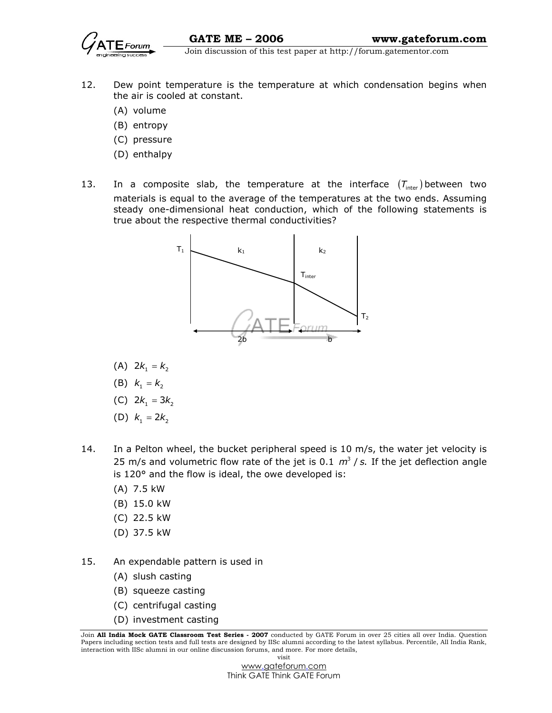

- 12. Dew point temperature is the temperature at which condensation begins when the air is cooled at constant.
	- (A) volume
	- (B) entropy
	- (C) pressure
	- (D) enthalpy
- 13. In a composite slab, the temperature at the interface  $(T_{inter})$  between two materials is equal to the average of the temperatures at the two ends. Assuming steady one-dimensional heat conduction, which of the following statements is true about the respective thermal conductivities?



- (A)  $2k_1 = k_2$
- (B)  $k_1 = k_2$
- (C)  $2k_1 = 3k_2$
- (D)  $k_1 = 2k_2$
- 14. In a Pelton wheel, the bucket peripheral speed is  $10 \text{ m/s}$ , the water jet velocity is 25 m/s and volumetric flow rate of the jet is 0.1  $m^3$  / s. If the jet deflection angle is 120° and the flow is ideal, the owe developed is:
	- (A) 7.5 kW
	- (B) 15.0 kW
	- (C) 22.5 kW
	- (D) 37.5 kW
- 15. An expendable pattern is used in
	- (A) slush casting
	- (B) squeeze casting
	- (C) centrifugal casting
	- (D) investment casting

Join All India Mock GATE Classroom Test Series - 2007 conducted by GATE Forum in over 25 cities all over India. Question Papers including section tests and full tests are designed by IISc alumni according to the latest syllabus. Percentile, All India Rank, interaction with IISc alumni in our online discussion forums, and more. For more details, visit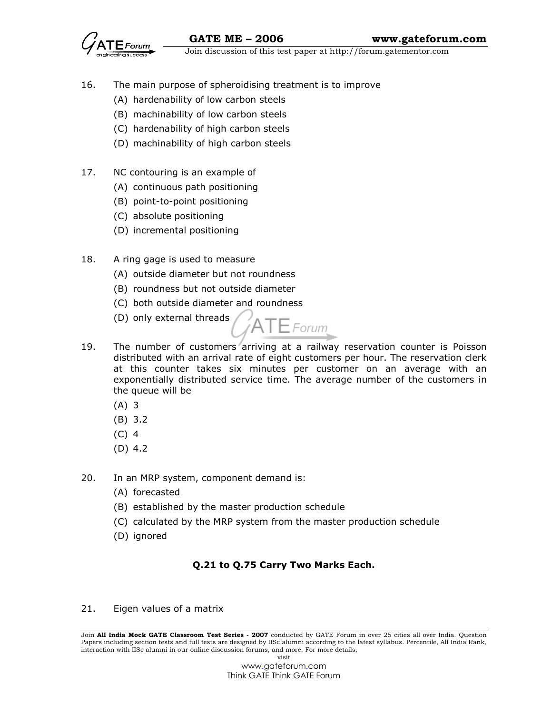

- 16. The main purpose of spheroidising treatment is to improve
	- (A) hardenability of low carbon steels
	- (B) machinability of low carbon steels
	- (C) hardenability of high carbon steels
	- (D) machinability of high carbon steels
- 17. NC contouring is an example of
	- (A) continuous path positioning
	- (B) point-to-point positioning
	- (C) absolute positioning
	- (D) incremental positioning
- 18. A ring gage is used to measure
	- (A) outside diameter but not roundness
	- (B) roundness but not outside diameter
	- (C) both outside diameter and roundness
	- (D) only external threads



- 19. The number of customers arriving at a railway reservation counter is Poisson distributed with an arrival rate of eight customers per hour. The reservation clerk at this counter takes six minutes per customer on an average with an exponentially distributed service time. The average number of the customers in the queue will be
	- (A) 3
	- (B) 3.2
	- (C) 4
	- (D) 4.2
- 20. In an MRP system, component demand is:
	- (A) forecasted
	- (B) established by the master production schedule
	- (C) calculated by the MRP system from the master production schedule
	- (D) ignored

# Q.21 to Q.75 Carry Two Marks Each.

21. Eigen values of a matrix

Join All India Mock GATE Classroom Test Series - 2007 conducted by GATE Forum in over 25 cities all over India. Question Papers including section tests and full tests are designed by IISc alumni according to the latest syllabus. Percentile, All India Rank, interaction with IISc alumni in our online discussion forums, and more. For more details, visit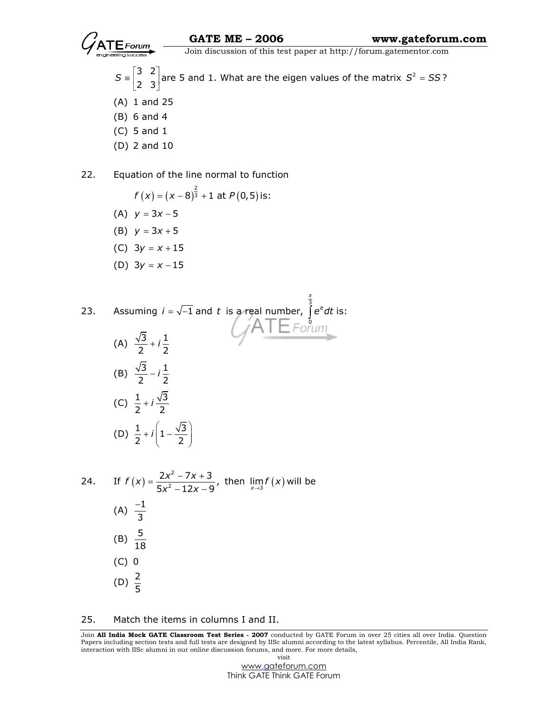

0

3 2  $S = \begin{bmatrix} 3 & 2 \\ 2 & 3 \end{bmatrix}$ are 5 and 1. What are the eigen values of the matrix  $S^2 = SS$ ?

- (A) 1 and 25
- (B) 6 and 4
- (C) 5 and 1
- (D) 2 and 10

22. Equation of the line normal to function

$$
f(x) = (x - 8)^{\frac{2}{3}} + 1 \text{ at } P(0,5) \text{ is:}
$$
  
(A)  $y = 3x - 5$ 

- (B)  $y = 3x + 5$
- (C)  $3y = x + 15$
- 
- (D)  $3y = x 15$

23. Assuming 
$$
i = \sqrt{-1}
$$
 and t is a real number,  $\int_{0}^{\frac{\pi}{3}} e^{it} dt$  is:

(A) 
$$
\frac{\sqrt{3}}{2} + i\frac{1}{2}
$$
  
\n(B)  $\frac{\sqrt{3}}{2} - i\frac{1}{2}$   
\n(C)  $\frac{1}{2} + i\frac{\sqrt{3}}{2}$   
\n(D)  $\frac{1}{2} + i\left(1 - \frac{\sqrt{3}}{2}\right)$ 

24. If 
$$
f(x) = \frac{2x^2 - 7x + 3}{5x^2 - 12x - 9}
$$
, then  $\lim_{x \to 3} f(x)$  will be  
\n(A)  $\frac{-1}{3}$   
\n(B)  $\frac{5}{18}$   
\n(C) 0  
\n(D)  $\frac{2}{5}$ 

#### 25. Match the items in columns I and II.

Join All India Mock GATE Classroom Test Series - 2007 conducted by GATE Forum in over 25 cities all over India. Question Papers including section tests and full tests are designed by IISc alumni according to the latest syllabus. Percentile, All India Rank, interaction with IISc alumni in our online discussion forums, and more. For more details, visit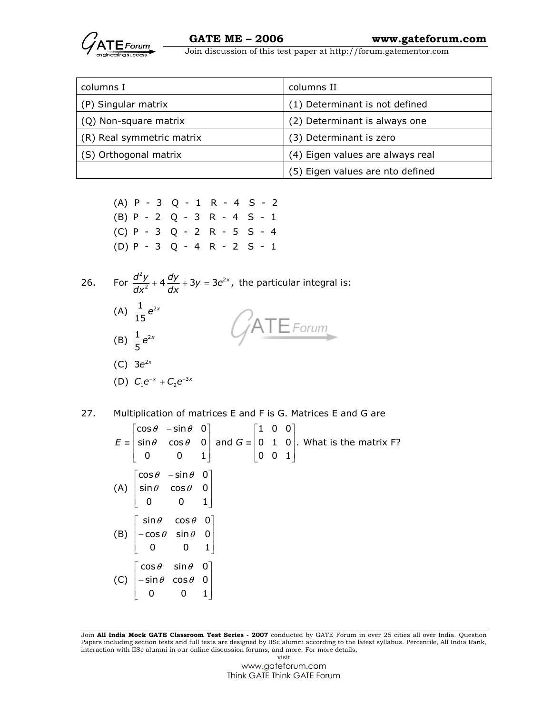

| columns I                 | columns II                       |
|---------------------------|----------------------------------|
| (P) Singular matrix       | (1) Determinant is not defined   |
| (Q) Non-square matrix     | (2) Determinant is always one    |
| (R) Real symmetric matrix | (3) Determinant is zero          |
| (S) Orthogonal matrix     | (4) Eigen values are always real |
|                           | (5) Eigen values are nto defined |

 (A) P - 3 Q - 1 R - 4 S - 2 (B) P - 2 Q - 3 R - 4 S - 1 (C) P - 3 Q - 2 R - 5 S - 4 (D) P - 3 Q - 4 R - 2 S - 1

26. For  $\frac{d^2y}{dx^2} + 4\frac{dy}{dx} + 3y = 3e^2$  $\frac{d^2y}{dx^2} + 4\frac{dy}{dx} + 3y = 3e^{2x}$ ,  $\frac{d^{2}y}{dx^{2}} + 4\frac{dy}{dx} + 3y = 3e^{2x}$ , the particular integral is: (A)  $\frac{1}{15}e^{2x}$  $ATE$ Forum (B)  $\frac{1}{5}e^{2x}$ (C)  $3e^{2x}$ (D)  $C_1 e^{-x} + C_2 e^{-3x}$ 

27. Multiplication of matrices E and F is G. Matrices E and G are

 $\begin{bmatrix} \cos \theta & -\sin \theta & 0 \end{bmatrix}$  [1 0 0]  $E \equiv \begin{vmatrix} \sin \theta & \cos \theta & 0 \end{vmatrix}$  and  $G \equiv \begin{vmatrix} 0 & 1 & 0 \end{vmatrix}$ . What is the matrix F?  $\begin{bmatrix} 0 & 0 & 1 \end{bmatrix}$   $\begin{bmatrix} 0 & 0 & 1 \end{bmatrix}$  $(A)$  sin $\theta$  cos $\theta$  0  $\begin{bmatrix} \cos\theta & -\sin\theta & 0 \end{bmatrix}$ 0 0 1  $\begin{vmatrix} \sin \theta & \cos \theta & 0 \end{vmatrix}$  $\begin{bmatrix} 0 & 0 & 1 \end{bmatrix}$ (B)  $\begin{vmatrix} -\cos\theta & \sin\theta & 0 \end{vmatrix}$  $\lceil$  sin $\theta$  cos $\theta$  0 $\rceil$  $\begin{bmatrix} 0 & 0 & 1 \end{bmatrix}$ (C)  $|-sin \theta cos \theta 0|$  $\lceil \cos \theta \quad \sin \theta \quad 0 \rceil$ 0 0 1  $\vert -\sin\theta \cos\theta \rangle$  0  $\begin{bmatrix} 0 & 0 & 1 \end{bmatrix}$ 

Join All India Mock GATE Classroom Test Series - 2007 conducted by GATE Forum in over 25 cities all over India. Question Papers including section tests and full tests are designed by IISc alumni according to the latest syllabus. Percentile, All India Rank, interaction with IISc alumni in our online discussion forums, and more. For more details, visit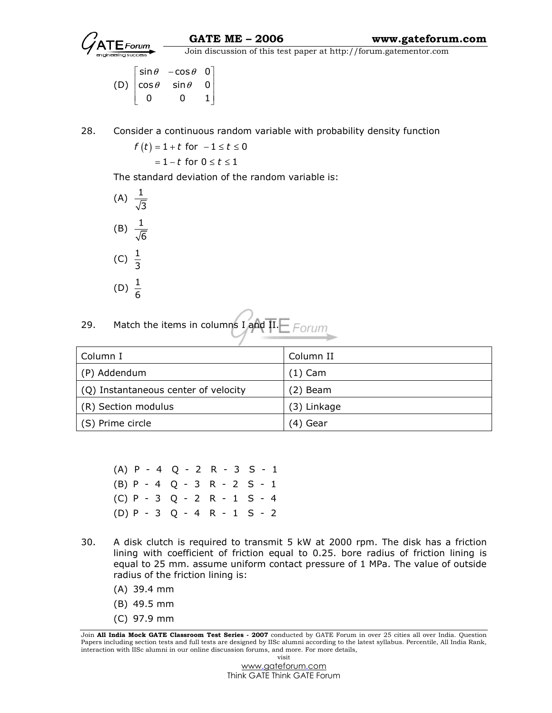

 $\overrightarrow{G}$  Join discussion of this test paper at http://forum.gatementor.com

(D)  $\cos \theta$   $\sin \theta$  0  $\begin{bmatrix} \sin \theta & -\cos \theta & 0 \end{bmatrix}$ 0 0 1  $\begin{bmatrix} 0 & 0 & 1 \end{bmatrix}$ 

28. Consider a continuous random variable with probability density function

 $f(t) = 1 + t$  for  $-1 \le t \le 0$  $= 1-t$  for  $0 \leq t \leq 1$ 

The standard deviation of the random variable is:



| 29. |  |  |
|-----|--|--|
|     |  |  |

| Column I                             | Column II   |
|--------------------------------------|-------------|
| (P) Addendum                         | $(1)$ Cam   |
| (Q) Instantaneous center of velocity | $(2)$ Beam  |
| (R) Section modulus                  | (3) Linkage |
| (S) Prime circle                     | (4) Gear    |

 (A) P - 4 Q - 2 R - 3 S - 1 (B) P - 4 Q - 3 R - 2 S - 1 (C) P - 3 Q - 2 R - 1 S - 4 (D) P - 3 Q - 4 R - 1 S - 2

- 30. A disk clutch is required to transmit 5 kW at 2000 rpm. The disk has a friction lining with coefficient of friction equal to 0.25. bore radius of friction lining is equal to 25 mm. assume uniform contact pressure of 1 MPa. The value of outside radius of the friction lining is:
	- (A) 39.4 mm
	- (B) 49.5 mm
	- (C) 97.9 mm

Join All India Mock GATE Classroom Test Series - 2007 conducted by GATE Forum in over 25 cities all over India. Question Papers including section tests and full tests are designed by IISc alumni according to the latest syllabus. Percentile, All India Rank, interaction with IISc alumni in our online discussion forums, and more. For more details, visit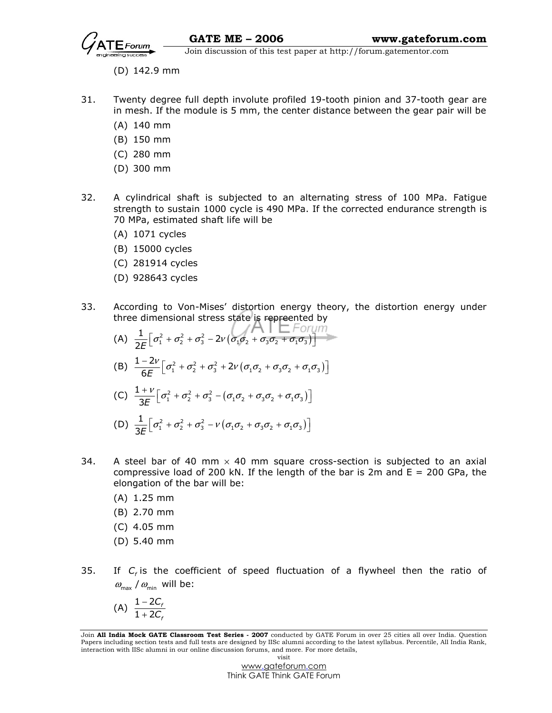

- (D) 142.9 mm
- 31. Twenty degree full depth involute profiled 19-tooth pinion and 37-tooth gear are in mesh. If the module is 5 mm, the center distance between the gear pair will be
	- (A) 140 mm
	- (B) 150 mm
	- (C) 280 mm
	- (D) 300 mm
- 32. A cylindrical shaft is subjected to an alternating stress of 100 MPa. Fatigue strength to sustain 1000 cycle is 490 MPa. If the corrected endurance strength is 70 MPa, estimated shaft life will be
	- (A) 1071 cycles
	- (B) 15000 cycles
	- (C) 281914 cycles
	- (D) 928643 cycles
- 33. According to Von-Mises' distortion energy theory, the distortion energy under three dimensional stress state is repreented by
- (A)  $\frac{1}{25} [\sigma_1^2 + \sigma_2^2 + \sigma_3^2 2v (\sigma_1 \sigma_2 + \sigma_3 \sigma_2 + \sigma_1 \sigma_3)]$  $\frac{1}{2E} \Big[ \sigma_1^2 + \sigma_2^2 + \sigma_3^2 - 2\nu \big( \sigma_1 \sigma_2 + \sigma_3 \sigma_2 + \sigma_1 \sigma_3 \big) \Big]$ (B)  $\frac{1-2\nu}{6E} \left[ \sigma_1^2 + \sigma_2^2 + \sigma_3^2 + 2\nu \left( \sigma_1 \sigma_2 + \sigma_3 \sigma_2 + \sigma_1 \sigma_3 \right) \right]$  $\frac{-2\nu}{6E} \Big[ \sigma_1^2 + \sigma_2^2 + \sigma_3^2 + 2\nu \big( \sigma_1 \sigma_2 + \sigma_3 \sigma_2 + \sigma_1 \sigma_3 \big) \Big]$ (C)  $\frac{1+\nu}{25} \left[ \sigma_1^2 + \sigma_2^2 + \sigma_3^2 - (\sigma_1 \sigma_2 + \sigma_3 \sigma_2 + \sigma_1 \sigma_3) \right]$ 1 3E  $\frac{V+V}{8E} \Big[ \sigma_1^2 + \sigma_2^2 + \sigma_3^2 - \big( \sigma_1 \sigma_2 + \sigma_3 \sigma_2 + \sigma_1 \sigma_3 \big) \Big]$

(D) 
$$
\frac{1}{3E} \Big[ \sigma_1^2 + \sigma_2^2 + \sigma_3^2 - \nu \big( \sigma_1 \sigma_2 + \sigma_3 \sigma_2 + \sigma_1 \sigma_3 \big) \Big]
$$

- 34. A steel bar of 40 mm  $\times$  40 mm square cross-section is subjected to an axial compressive load of 200 kN. If the length of the bar is 2m and  $E = 200$  GPa, the elongation of the bar will be:
	- (A) 1.25 mm
	- (B) 2.70 mm
	- (C) 4.05 mm
	- (D) 5.40 mm
- 35. If  $C_f$  is the coefficient of speed fluctuation of a flywheel then the ratio of  $\omega_{\text{max}}$  /  $\omega_{\text{min}}$  will be:

$$
(A) \frac{1-2C_f}{1+2C_f}
$$

Join All India Mock GATE Classroom Test Series - 2007 conducted by GATE Forum in over 25 cities all over India. Question Papers including section tests and full tests are designed by IISc alumni according to the latest syllabus. Percentile, All India Rank, interaction with IISc alumni in our online discussion forums, and more. For more details, visit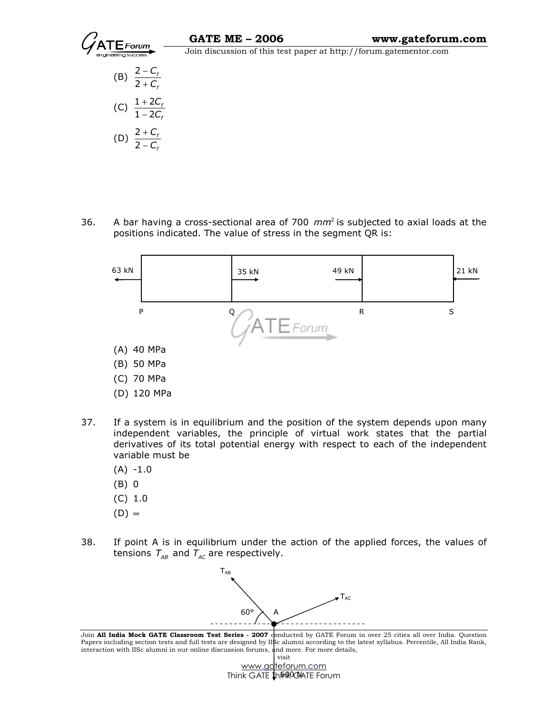



36. A bar having a cross-sectional area of 700  $mm^2$  is subjected to axial loads at the positions indicated. The value of stress in the segment QR is:



- (C) 70 MPa
- (D) 120 MPa
- 37. If a system is in equilibrium and the position of the system depends upon many independent variables, the principle of virtual work states that the partial derivatives of its total potential energy with respect to each of the independent variable must be
	- $(A) -1.0$
	- (B) 0
	- (C) 1.0
	- $(D)$  ∞
- 38. If point A is in equilibrium under the action of the applied forces, the values of tensions  $T_{AB}$  and  $T_{AC}$  are respectively.



Join All India Mock GATE Classroom Test Series - 2007 conducted by GATE Forum in over 25 cities all over India. Question Papers including section tests and full tests are designed by IISc alumni according to the latest syllabus. Percentile, All India Rank, interaction with IISc alumni in our online discussion forums, and more. For more details, visit

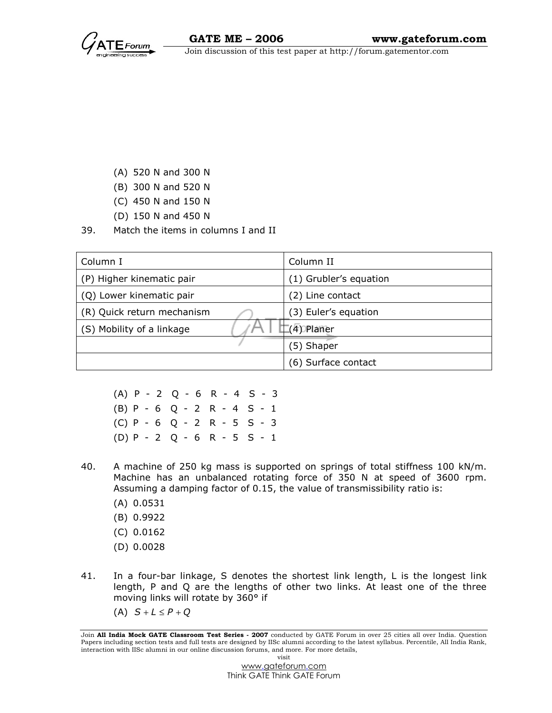

- (A) 520 N and 300 N
- (B) 300 N and 520 N
- (C) 450 N and 150 N
- (D) 150 N and 450 N
- 39. Match the items in columns I and II

| Column I                   | Column II              |
|----------------------------|------------------------|
| (P) Higher kinematic pair  | (1) Grubler's equation |
| (Q) Lower kinematic pair   | (2) Line contact       |
| (R) Quick return mechanism | (3) Euler's equation   |
| (S) Mobility of a linkage  | (4) Planer             |
|                            | (5) Shaper             |
|                            | (6) Surface contact    |

 (A) P - 2 Q - 6 R - 4 S - 3 (B) P - 6 Q - 2 R - 4 S - 1 (C) P - 6 Q - 2 R - 5 S - 3 (D) P - 2 Q - 6 R - 5 S - 1

- 40. A machine of 250 kg mass is supported on springs of total stiffness 100 kN/m. Machine has an unbalanced rotating force of 350 N at speed of 3600 rpm. Assuming a damping factor of 0.15, the value of transmissibility ratio is:
	- (A) 0.0531
	- (B) 0.9922
	- (C) 0.0162
	- (D) 0.0028
- 41. In a four-bar linkage, S denotes the shortest link length, L is the longest link length, P and Q are the lengths of other two links. At least one of the three moving links will rotate by 360° if
	- (A)  $S + L \leq P + Q$

Join All India Mock GATE Classroom Test Series - 2007 conducted by GATE Forum in over 25 cities all over India. Question Papers including section tests and full tests are designed by IISc alumni according to the latest syllabus. Percentile, All India Rank, interaction with IISc alumni in our online discussion forums, and more. For more details, visit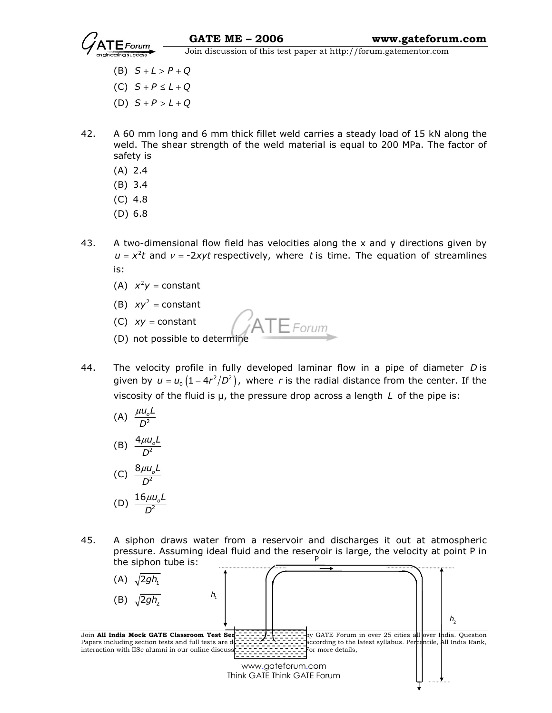

- (B)  $S + L > P + Q$
- (C)  $S + P \leq L + Q$
- (D)  $S + P > L + Q$
- 42. A 60 mm long and 6 mm thick fillet weld carries a steady load of 15 kN along the weld. The shear strength of the weld material is equal to 200 MPa. The factor of safety is
	- (A) 2.4
	- (B) 3.4
	- (C) 4.8
	- (D) 6.8
- 43. A two-dimensional flow field has velocities along the  $x$  and  $y$  directions given by  $u = x<sup>2</sup>t$  and  $v = -2xyt$  respectively, where t is time. The equation of streamlines is:
	- (A)  $x^2y = constant$
	- (B)  $xy^2$  = constant
	- (C)  $xy = constant$
	- (C)  $xy = \text{constant}$ <br>(D) not possible to determine
- 44. The velocity profile in fully developed laminar flow in a pipe of diameter D is given by  $u = u_{_0} \left( 1 - 4 r^2/D^2 \right)$ , where r is the radial distance from the center. If the viscosity of the fluid is  $\mu$ , the pressure drop across a length  $L$  of the pipe is:
- (A)  $\frac{\mu u_o L}{D^2}$ D  $\mu$ (B)  $\frac{4\mu u_o L}{D^2}$ D  $\mu$ (C)  $\frac{8\mu u_{o}L}{D^{2}}$ D  $\mu$ (D)  $\frac{16 \mu u_o L}{D^2}$  $\mu$

D

45. A siphon draws water from a reservoir and discharges it out at atmospheric pressure. Assuming ideal fluid and the reservoir is large, the velocity at point P in the siphon tube is: P

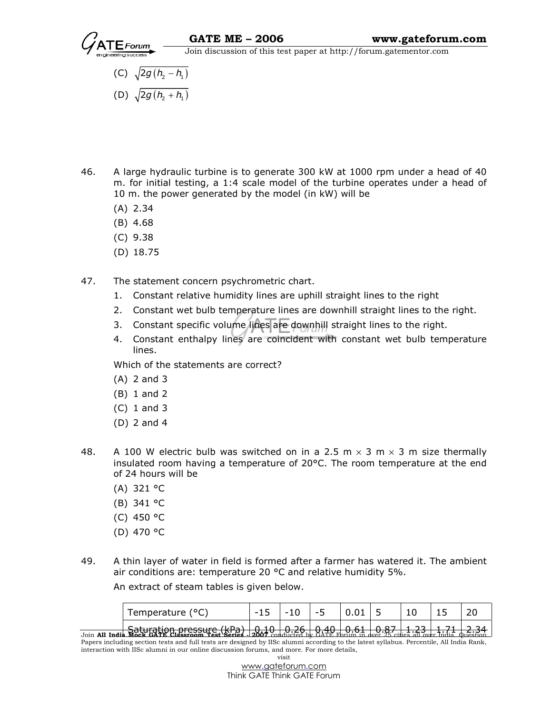

- (C)  $\sqrt{2g(h_2 h_1)}$
- (D)  $\sqrt{2g(h_2 + h_1)}$
- 46. A large hydraulic turbine is to generate 300 kW at 1000 rpm under a head of 40 m. for initial testing, a 1:4 scale model of the turbine operates under a head of 10 m. the power generated by the model (in kW) will be
	- (A) 2.34
	- (B) 4.68
	- (C) 9.38
	- (D) 18.75
- 47. The statement concern psychrometric chart.
	- 1. Constant relative humidity lines are uphill straight lines to the right
	- 2. Constant wet bulb temperature lines are downhill straight lines to the right.
	- 3. Constant specific volume lines are downhill straight lines to the right.
	- 4. Constant enthalpy lines are coincident with constant wet bulb temperature lines.

Which of the statements are correct?

- (A) 2 and 3
- (B) 1 and 2
- (C) 1 and 3
- (D) 2 and 4
- 48. A 100 W electric bulb was switched on in a 2.5 m  $\times$  3 m  $\times$  3 m size thermally insulated room having a temperature of 20°C. The room temperature at the end of 24 hours will be
	- (A) 321 °C
	- (B) 341 °C
	- (C) 450 °C
	- (D) 470 °C
- 49. A thin layer of water in field is formed after a farmer has watered it. The ambient air conditions are: temperature 20 °C and relative humidity 5%.

An extract of steam tables is given below.

| Temperature (°C)                                                                                                                                     | $-15$ | $-10$ | -5 |  |  |  |
|------------------------------------------------------------------------------------------------------------------------------------------------------|-------|-------|----|--|--|--|
| Coturation proccure (kDa                                                                                                                             |       |       |    |  |  |  |
| $J_{\text{O}}$ all India Mock GATE Classroom Test Series . 2007 conducted by $\lambda_0 + \lambda_1 + \lambda_2 + \lambda_3 + \lambda_4 + \lambda_5$ |       |       |    |  |  |  |

Papers including section tests and full tests are designed by IISc alumni according to the latest syllabus. Percentile, All India Rank, interaction with IISc alumni in our online discussion forums, and more. For more details, visit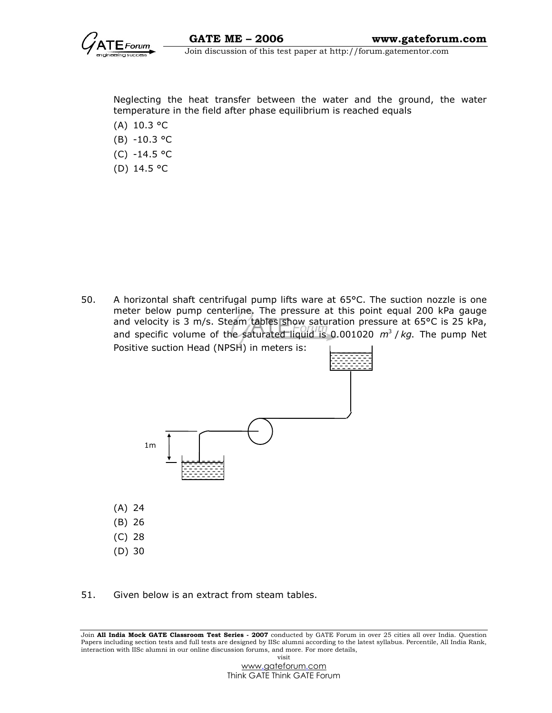

Neglecting the heat transfer between the water and the ground, the water temperature in the field after phase equilibrium is reached equals

- (A) 10.3 °C
- (B) -10.3 °C
- (C) -14.5 °C
- (D) 14.5 °C

50. A horizontal shaft centrifugal pump lifts ware at 65°C. The suction nozzle is one meter below pump centerline. The pressure at this point equal 200 kPa gauge and velocity is 3 m/s. Steam tables show saturation pressure at 65°C is 25 kPa, and specific volume of the saturated liquid is 0.001020  $m^3 / kq$ . The pump Net Positive suction Head (NPSH) in meters is:



51. Given below is an extract from steam tables.

Join All India Mock GATE Classroom Test Series - 2007 conducted by GATE Forum in over 25 cities all over India. Question Papers including section tests and full tests are designed by IISc alumni according to the latest syllabus. Percentile, All India Rank, interaction with IISc alumni in our online discussion forums, and more. For more details, visit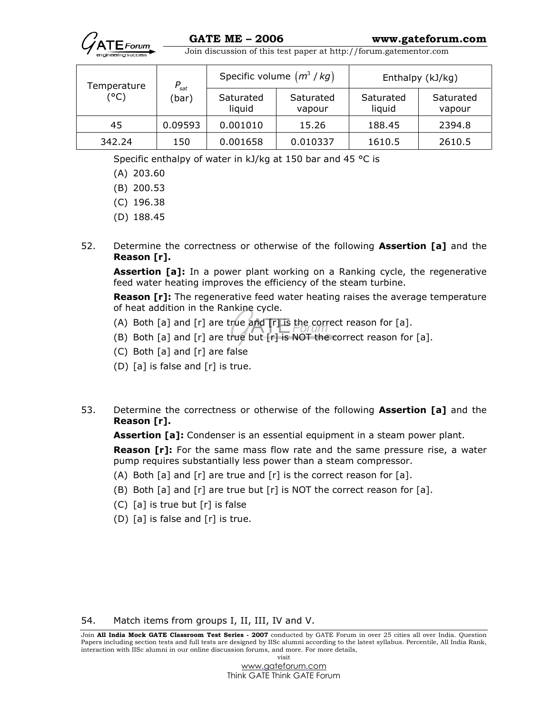

| Temperature | $P_{\text{sat}}$ | Specific volume $(m^3 / kg)$ |                     | Enthalpy (kJ/kg)    |                     |
|-------------|------------------|------------------------------|---------------------|---------------------|---------------------|
| (°C)        | (bar)            | Saturated<br>liquid          | Saturated<br>vapour | Saturated<br>liquid | Saturated<br>vapour |
| 45          | 0.09593          | 0.001010                     | 15.26               | 188.45              | 2394.8              |
| 342.24      | 150              | 0.001658                     | 0.010337            | 1610.5              | 2610.5              |

Specific enthalpy of water in kJ/kg at 150 bar and 45 °C is

- (A) 203.60
- (B) 200.53
- (C) 196.38
- (D) 188.45
- 52. Determine the correctness or otherwise of the following **Assertion [a]** and the Reason [r].

Assertion [a]: In a power plant working on a Ranking cycle, the regenerative feed water heating improves the efficiency of the steam turbine.

**Reason [r]:** The regenerative feed water heating raises the average temperature of heat addition in the Rankine cycle.

- (A) Both [a] and [r] are true and  $[r]$  is the correct reason for [a].
- (B) Both  $[a]$  and  $[r]$  are true but  $[r]$  is NOT the correct reason for  $[a]$ .
- (C) Both [a] and [r] are false
- (D) [a] is false and [r] is true.
- 53. Determine the correctness or otherwise of the following **Assertion [a]** and the Reason [r].

Assertion [a]: Condenser is an essential equipment in a steam power plant.

**Reason [r]:** For the same mass flow rate and the same pressure rise, a water pump requires substantially less power than a steam compressor.

- (A) Both  $[a]$  and  $[r]$  are true and  $[r]$  is the correct reason for  $[a]$ .
- (B) Both  $[a]$  and  $[r]$  are true but  $[r]$  is NOT the correct reason for  $[a]$ .
- (C) [a] is true but [r] is false
- (D) [a] is false and [r] is true.

54. Match items from groups I, II, III, IV and V.

Join All India Mock GATE Classroom Test Series - 2007 conducted by GATE Forum in over 25 cities all over India. Question Papers including section tests and full tests are designed by IISc alumni according to the latest syllabus. Percentile, All India Rank, interaction with IISc alumni in our online discussion forums, and more. For more details, visit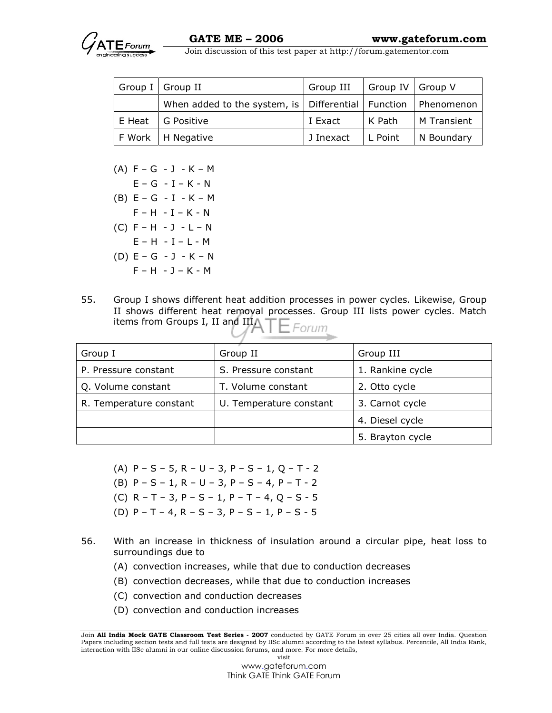

| Group I Group II                                                                      | Group III   Group IV   Group V |          |             |
|---------------------------------------------------------------------------------------|--------------------------------|----------|-------------|
| When added to the system, is $\vert$ Differential $\vert$ Function $\vert$ Phenomenon |                                |          |             |
| E Heat   G Positive                                                                   | l I Exact                      | l K Path | M Transient |
| F Work   H Negative                                                                   | J Inexact                      | L Point  | N Boundary  |

 $(A) F - G - J - K - M$  $E - G - I - K - N$  (B) E – G - I - K – M  $F - H - I - K - N$  (C) F – H - J - L – N  $E - H - I - L - M$  (D) E – G - J - K – N  $F - H - J - K - M$ 

55. Group I shows different heat addition processes in power cycles. Likewise, Group II shows different heat removal processes. Group III lists power cycles. Match items from Groups I, II and III/  $E$ Forum

| Group I                 | Group II                | Group III        |
|-------------------------|-------------------------|------------------|
| P. Pressure constant    | S. Pressure constant    | 1. Rankine cycle |
| Q. Volume constant      | T. Volume constant      | 2. Otto cycle    |
| R. Temperature constant | U. Temperature constant | 3. Carnot cycle  |
|                         |                         | 4. Diesel cycle  |
|                         |                         | 5. Brayton cycle |

- (A)  $P S 5$ ,  $R U 3$ ,  $P S 1$ ,  $Q T 2$
- (B) P S 1, R U 3, P S 4, P T 2
- (C) R T 3, P S 1, P T 4, Q S 5
- (D) P T 4, R S 3, P S 1, P S 5
- 56. With an increase in thickness of insulation around a circular pipe, heat loss to surroundings due to
	- (A) convection increases, while that due to conduction decreases
	- (B) convection decreases, while that due to conduction increases
	- (C) convection and conduction decreases
	- (D) convection and conduction increases

Join All India Mock GATE Classroom Test Series - 2007 conducted by GATE Forum in over 25 cities all over India. Question Papers including section tests and full tests are designed by IISc alumni according to the latest syllabus. Percentile, All India Rank, interaction with IISc alumni in our online discussion forums, and more. For more details, visit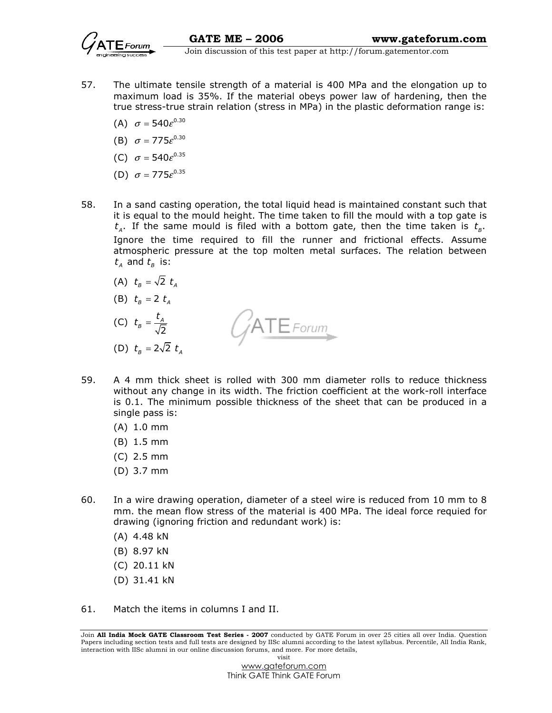

- 57. The ultimate tensile strength of a material is 400 MPa and the elongation up to maximum load is 35%. If the material obeys power law of hardening, then the true stress-true strain relation (stress in MPa) in the plastic deformation range is:
	- (A)  $\sigma = 540e^{0.30}$
	- (B)  $\sigma = 775e^{0.30}$
	- (C)  $\sigma = 540e^{0.35}$
	- (D)  $\sigma = 775e^{0.35}$
- 58. In a sand casting operation, the total liquid head is maintained constant such that it is equal to the mould height. The time taken to fill the mould with a top gate is  $t_{\scriptscriptstyle{A}}$ . If the same mould is filed with a bottom gate, then the time taken is  $t_{\scriptscriptstyle{B}}.$ Ignore the time required to fill the runner and frictional effects. Assume atmospheric pressure at the top molten metal surfaces. The relation between  $t_{A}$  and  $t_{B}$  is:
	- (A)  $t_B = \sqrt{2} t_A$
	- (B)  $t_{\rm a} = 2 t_{\rm a}$
- $t_{\scriptscriptstyle B}^{}=\frac{t}{\tau}$  $B = \frac{A}{\sqrt{2}}$ ATE Forum  $(C)$ 2 (D)  $t_{\rm a} = 2\sqrt{2} t_{\rm a}$
- 59. A 4 mm thick sheet is rolled with 300 mm diameter rolls to reduce thickness without any change in its width. The friction coefficient at the work-roll interface is 0.1. The minimum possible thickness of the sheet that can be produced in a single pass is:
	- (A) 1.0 mm
	- (B) 1.5 mm
	- (C) 2.5 mm
	- (D) 3.7 mm
- 60. In a wire drawing operation, diameter of a steel wire is reduced from 10 mm to 8 mm. the mean flow stress of the material is 400 MPa. The ideal force requied for drawing (ignoring friction and redundant work) is:
	- (A) 4.48 kN
	- (B) 8.97 kN
	- (C) 20.11 kN
	- (D) 31.41 kN
- 61. Match the items in columns I and II.

Join All India Mock GATE Classroom Test Series - 2007 conducted by GATE Forum in over 25 cities all over India. Question Papers including section tests and full tests are designed by IISc alumni according to the latest syllabus. Percentile, All India Rank, interaction with IISc alumni in our online discussion forums, and more. For more details, visit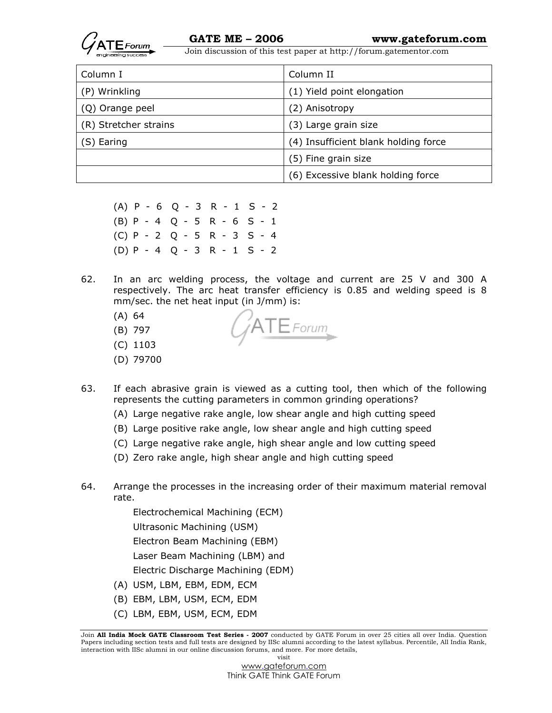

| Column I              | Column II                            |
|-----------------------|--------------------------------------|
| (P) Wrinkling         | (1) Yield point elongation           |
| (Q) Orange peel       | (2) Anisotropy                       |
| (R) Stretcher strains | (3) Large grain size                 |
| (S) Earing            | (4) Insufficient blank holding force |
|                       | (5) Fine grain size                  |
|                       | (6) Excessive blank holding force    |

 (A) P - 6 Q - 3 R - 1 S - 2 (B) P - 4 Q - 5 R - 6 S - 1 (C) P - 2 Q - 5 R - 3 S - 4 (D) P - 4 Q - 3 R - 1 S - 2

62. In an arc welding process, the voltage and current are 25 V and 300 A respectively. The arc heat transfer efficiency is 0.85 and welding speed is 8 mm/sec. the net heat input (in J/mm) is:

 $ATE$ Forum

- (A) 64
- (B) 797
- (C) 1103
- (D) 79700
- 63. If each abrasive grain is viewed as a cutting tool, then which of the following represents the cutting parameters in common grinding operations?
	- (A) Large negative rake angle, low shear angle and high cutting speed
	- (B) Large positive rake angle, low shear angle and high cutting speed
	- (C) Large negative rake angle, high shear angle and low cutting speed
	- (D) Zero rake angle, high shear angle and high cutting speed
- 64. Arrange the processes in the increasing order of their maximum material removal rate.

Electrochemical Machining (ECM)

Ultrasonic Machining (USM)

Electron Beam Machining (EBM)

Laser Beam Machining (LBM) and

Electric Discharge Machining (EDM)

- (A) USM, LBM, EBM, EDM, ECM
- (B) EBM, LBM, USM, ECM, EDM
- (C) LBM, EBM, USM, ECM, EDM

Join All India Mock GATE Classroom Test Series - 2007 conducted by GATE Forum in over 25 cities all over India. Question Papers including section tests and full tests are designed by IISc alumni according to the latest syllabus. Percentile, All India Rank, interaction with IISc alumni in our online discussion forums, and more. For more details, visit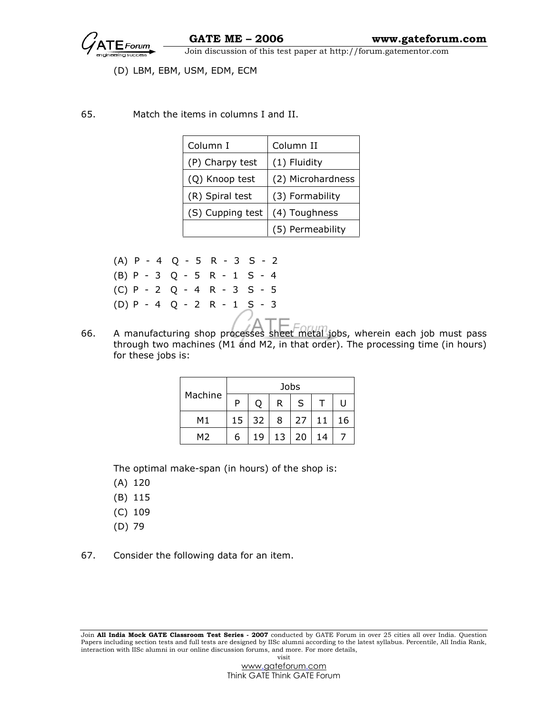

#### (D) LBM, EBM, USM, EDM, ECM

65. Match the items in columns I and II.

| Column I         | Column II         |
|------------------|-------------------|
| (P) Charpy test  | (1) Fluidity      |
| (Q) Knoop test   | (2) Microhardness |
| (R) Spiral test  | (3) Formability   |
| (S) Cupping test | (4) Toughness     |
|                  | (5) Permeability  |

|           | $(A)$ P - 4 Q - 5 R - 3 S - 2 |  |
|-----------|-------------------------------|--|
|           | $(B)$ P - 3 Q - 5 R - 1 S - 4 |  |
|           | $(C)$ P - 2 Q - 4 R - 3 S - 5 |  |
| $(D)$ $P$ | -4 Q - 2 R - 1 S - 3          |  |
|           |                               |  |

66. A manufacturing shop processes sheet metal jobs, wherein each job must pass through two machines (M1 and M2, in that order). The processing time (in hours) for these jobs is:

|                | Jobs |    |    |    |    |    |
|----------------|------|----|----|----|----|----|
| Machine        | D    | O  | R  | S  |    | U  |
| M1             | 15   | 32 | 8  | 27 | 11 | 16 |
| M <sub>2</sub> | 6    | 19 | 13 | 20 | 14 |    |

The optimal make-span (in hours) of the shop is:

(A) 120

- (B) 115
- (C) 109
- (D) 79
- 67. Consider the following data for an item.

Join All India Mock GATE Classroom Test Series - 2007 conducted by GATE Forum in over 25 cities all over India. Question Papers including section tests and full tests are designed by IISc alumni according to the latest syllabus. Percentile, All India Rank, interaction with IISc alumni in our online discussion forums, and more. For more details, visit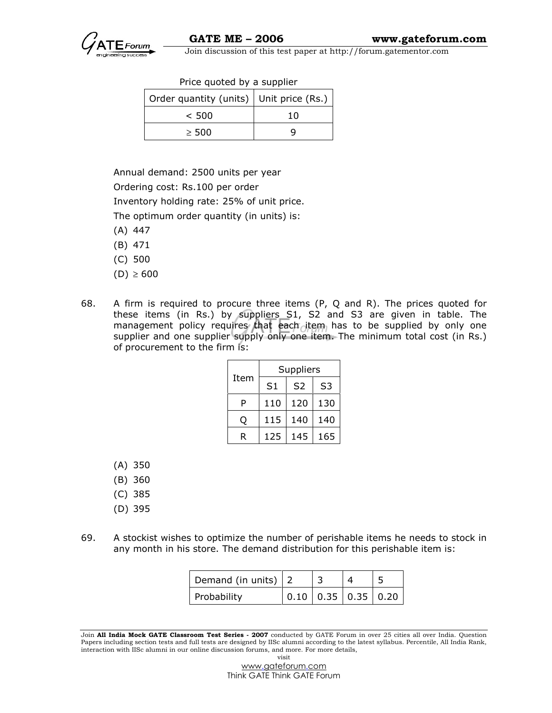| Price quoted by a supplier |  |  |  |  |
|----------------------------|--|--|--|--|
|----------------------------|--|--|--|--|

| Order quantity (units)   Unit price (Rs.) |     |
|-------------------------------------------|-----|
| < 500                                     | 1 N |
| $\geq$ 500                                |     |

Annual demand: 2500 units per year

Ordering cost: Rs.100 per order

Inventory holding rate: 25% of unit price.

The optimum order quantity (in units) is:

- (A) 447
- (B) 471
- (C) 500
- (D) ≥ 600
- 68. A firm is required to procure three items (P, Q and R). The prices quoted for these items (in Rs.) by suppliers S1, S2 and S3 are given in table. The management policy requires that each item has to be supplied by only one supplier and one supplier supply only one item. The minimum total cost (in Rs.) of procurement to the firm is:

|      | Suppliers      |                |                |  |  |
|------|----------------|----------------|----------------|--|--|
| Item | S <sub>1</sub> | S <sub>2</sub> | S <sub>3</sub> |  |  |
| P    | 110            | 120            | 130            |  |  |
|      | 115            | 140            | 140            |  |  |
| R    | 125            | 145            | 165            |  |  |

- (A) 350
- (B) 360
- (C) 385
- (D) 395
- 69. A stockist wishes to optimize the number of perishable items he needs to stock in any month in his store. The demand distribution for this perishable item is:

| Demand (in units) $ 2$ |                             |  |
|------------------------|-----------------------------|--|
| Probability            | $0.10$   0.35   0.35   0.20 |  |

Join All India Mock GATE Classroom Test Series - 2007 conducted by GATE Forum in over 25 cities all over India. Question Papers including section tests and full tests are designed by IISc alumni according to the latest syllabus. Percentile, All India Rank, interaction with IISc alumni in our online discussion forums, and more. For more details, visit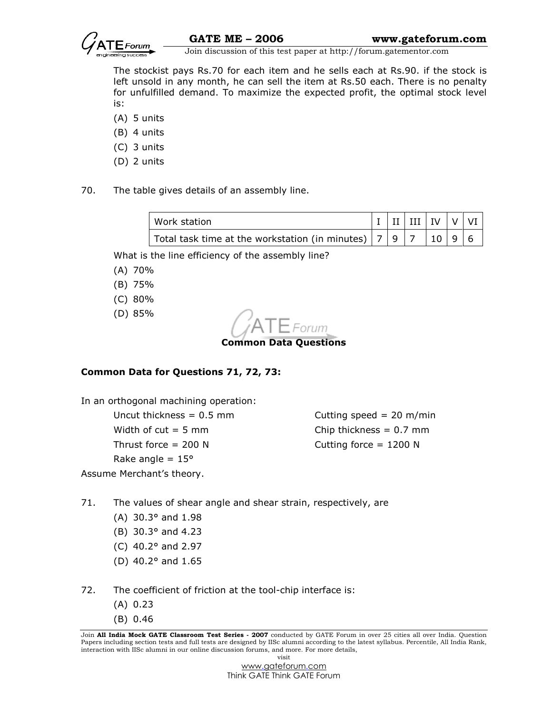

 The stockist pays Rs.70 for each item and he sells each at Rs.90. if the stock is left unsold in any month, he can sell the item at Rs.50 each. There is no penalty for unfulfilled demand. To maximize the expected profit, the optimal stock level is:

- (A) 5 units
- (B) 4 units
- (C) 3 units
- (D) 2 units
- 70. The table gives details of an assembly line.

| Work station                                                  |  | $\vert$ I $\vert$ II $\vert$ III $\vert$ IV $\vert$ V $\vert$ VI $\vert$ |  |  |
|---------------------------------------------------------------|--|--------------------------------------------------------------------------|--|--|
| Total task time at the workstation (in minutes) $ 7 9 7 10 9$ |  |                                                                          |  |  |

What is the line efficiency of the assembly line?

- (A) 70%
- (B) 75%
- (C) 80%
- (D) 85%

Common Data Questions

# Common Data for Questions 71, 72, 73:

In an orthogonal machining operation:

Width of  $cut = 5$  mm Chip thickness =  $0.7$  mm Thrust force  $= 200 \text{ N}$  Cutting force  $= 1200 \text{ N}$ Rake angle  $= 15^{\circ}$ Assume Merchant's theory.

Uncut thickness =  $0.5$  mm Cutting speed =  $20$  m/min

#### 71. The values of shear angle and shear strain, respectively, are

- (A) 30.3° and 1.98
- (B) 30.3° and 4.23
- (C) 40.2° and 2.97
- (D) 40.2° and 1.65
- 72. The coefficient of friction at the tool-chip interface is:
	- (A) 0.23
	- (B) 0.46

Join All India Mock GATE Classroom Test Series - 2007 conducted by GATE Forum in over 25 cities all over India. Question Papers including section tests and full tests are designed by IISc alumni according to the latest syllabus. Percentile, All India Rank, interaction with IISc alumni in our online discussion forums, and more. For more details, visit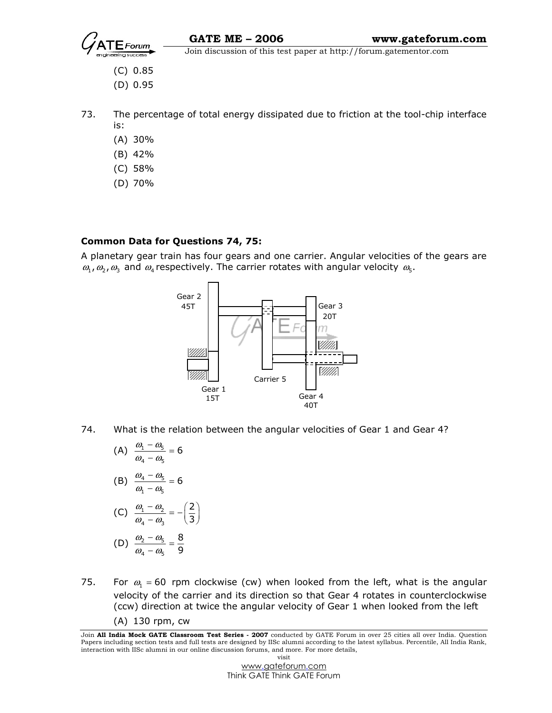

- (C) 0.85
- (D) 0.95
- 73. The percentage of total energy dissipated due to friction at the tool-chip interface is:
	- (A) 30%
	- (B) 42%
	- (C) 58%
	- (D) 70%

# Common Data for Questions 74, 75:

A planetary gear train has four gears and one carrier. Angular velocities of the gears are  $\omega_1$ ,  $\omega_2$ ,  $\omega_3$  and  $\omega_4$  respectively. The carrier rotates with angular velocity  $\omega_5$ .



- 74. What is the relation between the angular velocities of Gear 1 and Gear 4?
- (A)  $\frac{\omega_1 \omega_5}{\omega_5}$  $4 \frac{\omega_5}{\omega_5}$  $\frac{\omega_1 - \omega_5}{\omega_5} = 6$  $\omega_{4} - \omega_{6}$  $\frac{-\omega_5}{-\omega_5}$  =

(B) 
$$
\frac{\omega_4 - \omega_5}{\omega_1 - \omega_5} = 6
$$

$$
(C) \frac{\omega_1 - \omega_2}{\omega_4 - \omega_3} = -\left(\frac{2}{3}\right)
$$

(D) 
$$
\frac{\omega_2 - \omega_5}{\omega_4 - \omega_5} = \frac{8}{9}
$$

75. For  $\omega_1$  = 60 rpm clockwise (cw) when looked from the left, what is the angular velocity of the carrier and its direction so that Gear 4 rotates in counterclockwise (ccw) direction at twice the angular velocity of Gear 1 when looked from the left (A) 130 rpm, cw

Join All India Mock GATE Classroom Test Series - 2007 conducted by GATE Forum in over 25 cities all over India. Question Papers including section tests and full tests are designed by IISc alumni according to the latest syllabus. Percentile, All India Rank, interaction with IISc alumni in our online discussion forums, and more. For more details, visit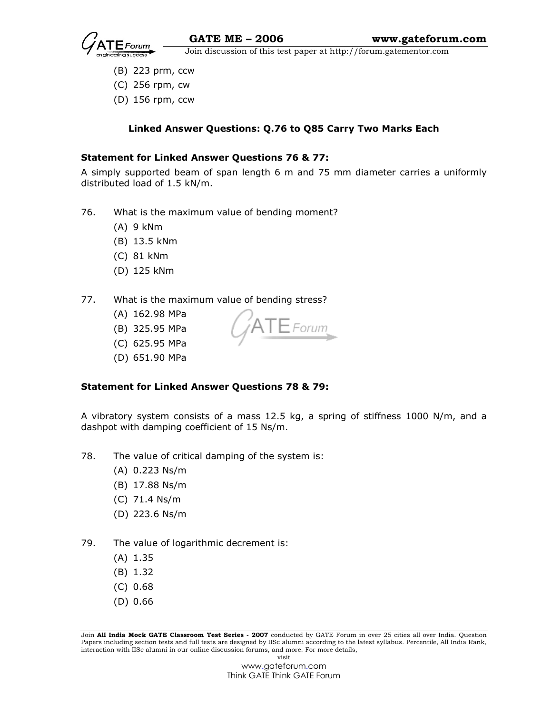

- (B) 223 prm, ccw
- (C) 256 rpm, cw
- (D) 156 rpm, ccw

# Linked Answer Questions: Q.76 to Q85 Carry Two Marks Each

# Statement for Linked Answer Questions 76 & 77:

A simply supported beam of span length 6 m and 75 mm diameter carries a uniformly distributed load of 1.5 kN/m.

- 76. What is the maximum value of bending moment?
	- (A) 9 kNm
	- (B) 13.5 kNm
	- (C) 81 kNm
	- (D) 125 kNm

# 77. What is the maximum value of bending stress?

- (A) 162.98 MPa
- (B) 325.95 MPa
- (C) 625.95 MPa
- (D) 651.90 MPa

#### Statement for Linked Answer Questions 78 & 79:

A vibratory system consists of a mass 12.5 kg, a spring of stiffness 1000 N/m, and a dashpot with damping coefficient of 15 Ns/m.

 $\Gamma \mathsf{E}$  Forum

- 78. The value of critical damping of the system is:
	- (A) 0.223 Ns/m
	- (B) 17.88 Ns/m
	- (C) 71.4 Ns/m
	- (D) 223.6 Ns/m
- 79. The value of logarithmic decrement is:
	- (A) 1.35
	- (B) 1.32
	- (C) 0.68
	- (D) 0.66

Join All India Mock GATE Classroom Test Series - 2007 conducted by GATE Forum in over 25 cities all over India. Question Papers including section tests and full tests are designed by IISc alumni according to the latest syllabus. Percentile, All India Rank, interaction with IISc alumni in our online discussion forums, and more. For more details, visit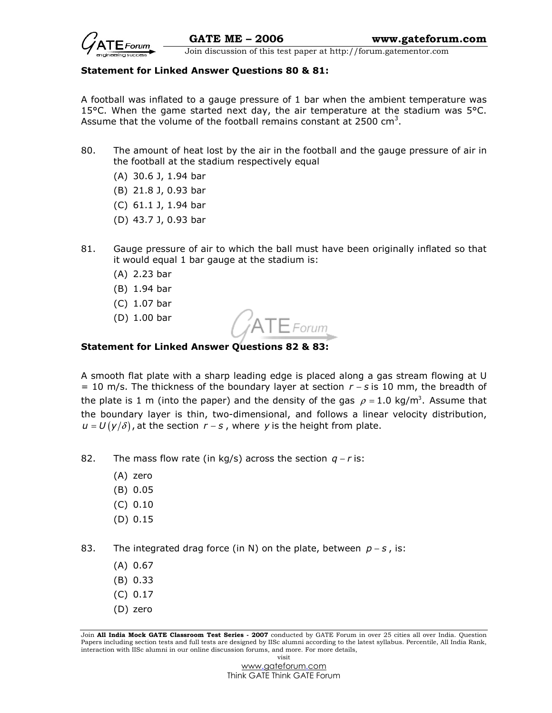

#### Statement for Linked Answer Questions 80 & 81:

A football was inflated to a gauge pressure of 1 bar when the ambient temperature was 15 $^{\circ}$ C. When the game started next day, the air temperature at the stadium was 5 $^{\circ}$ C. Assume that the volume of the football remains constant at 2500  $\text{cm}^3$ .

- 80. The amount of heat lost by the air in the football and the gauge pressure of air in the football at the stadium respectively equal
	- (A) 30.6 J, 1.94 bar
	- (B) 21.8 J, 0.93 bar
	- (C) 61.1 J, 1.94 bar
	- (D) 43.7 J, 0.93 bar
- 81. Gauge pressure of air to which the ball must have been originally inflated so that it would equal 1 bar gauge at the stadium is:
	- (A) 2.23 bar
	- (B) 1.94 bar
	- (C) 1.07 bar
	- (D) 1.00 bar

# Statement for Linked Answer Questions 82 & 83:

A smooth flat plate with a sharp leading edge is placed along a gas stream flowing at U = 10 m/s. The thickness of the boundary layer at section  $r - s$  is 10 mm, the breadth of the plate is 1 m (into the paper) and the density of the gas  $\rho$  = 1.0 kg/m<sup>3</sup>. Assume that the boundary layer is thin, two-dimensional, and follows a linear velocity distribution,  $u = U(y/\delta)$ , at the section  $r - s$ , where y is the height from plate.

 $\mathsf{\bar{F}}$ Forum

82. The mass flow rate (in kg/s) across the section  $q - r$  is:

- (A) zero
- (B) 0.05
- (C) 0.10
- (D) 0.15

83. The integrated drag force (in N) on the plate, between  $p - s$ , is:

- (A) 0.67
- (B) 0.33
- (C) 0.17
- (D) zero

Join All India Mock GATE Classroom Test Series - 2007 conducted by GATE Forum in over 25 cities all over India. Question Papers including section tests and full tests are designed by IISc alumni according to the latest syllabus. Percentile, All India Rank, interaction with IISc alumni in our online discussion forums, and more. For more details, visit